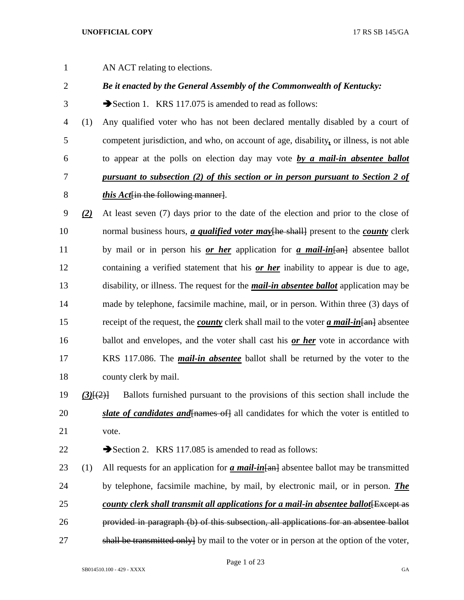AN ACT relating to elections.

# *Be it enacted by the General Assembly of the Commonwealth of Kentucky:*

3 Section 1. KRS 117.075 is amended to read as follows:

- (1) Any qualified voter who has not been declared mentally disabled by a court of competent jurisdiction, and who, on account of age, disability*,* or illness, is not able to appear at the polls on election day may vote *by a mail-in absentee ballot pursuant to subsection (2) of this section or in person pursuant to Section 2 of this Act*[in the following manner].
- *(2)* At least seven (7) days prior to the date of the election and prior to the close of 10 normal business hours, *a qualified voter may* [he shall] present to the *county* clerk by mail or in person his *or her* application for *a mail-in*[an] absentee ballot containing a verified statement that his *or her* inability to appear is due to age, disability, or illness. The request for the *mail-in absentee ballot* application may be made by telephone, facsimile machine, mail, or in person. Within three (3) days of receipt of the request, the *county* clerk shall mail to the voter *a mail-in*[an] absentee ballot and envelopes, and the voter shall cast his *or her* vote in accordance with KRS 117.086. The *mail-in absentee* ballot shall be returned by the voter to the county clerk by mail.
- *(3)*[(2)] Ballots furnished pursuant to the provisions of this section shall include the *slate of candidates and* [names of ] all candidates for which the voter is entitled to vote.

22 Section 2. KRS 117.085 is amended to read as follows:

23 (1) All requests for an application for *a mail-in* [and absentee ballot may be transmitted by telephone, facsimile machine, by mail, by electronic mail, or in person. *The county clerk shall transmit all applications for a mail-in absentee ballot* **(Except as**  provided in paragraph (b) of this subsection, all applications for an absentee ballot 27 shall be transmitted only by mail to the voter or in person at the option of the voter,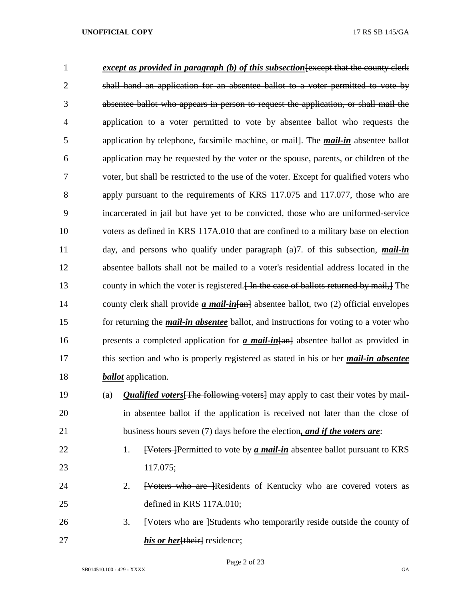| $\mathbf{1}$   | except as provided in paragraph $(b)$ of this subsection [except that the county clerk               |
|----------------|------------------------------------------------------------------------------------------------------|
| $\overline{2}$ | shall hand an application for an absentee ballot to a voter permitted to vote by                     |
| 3              | absentee ballot who appears in person to request the application, or shall mail the                  |
| $\overline{4}$ | application to a voter permitted to vote by absentee ballot who requests the                         |
| 5              | application by telephone, facsimile machine, or mail. The <i>mail-in</i> absentee ballot             |
| 6              | application may be requested by the voter or the spouse, parents, or children of the                 |
| 7              | voter, but shall be restricted to the use of the voter. Except for qualified voters who              |
| 8              | apply pursuant to the requirements of KRS 117.075 and 117.077, those who are                         |
| 9              | incarcerated in jail but have yet to be convicted, those who are uniformed-service                   |
| 10             | voters as defined in KRS 117A.010 that are confined to a military base on election                   |
| 11             | day, and persons who qualify under paragraph $(a)$ . of this subsection, <i>mail-in</i>              |
| 12             | absentee ballots shall not be mailed to a voter's residential address located in the                 |
| 13             | county in which the voter is registered. The the case of ballots returned by mail, The               |
| 14             | county clerk shall provide <i>a mail-in</i> [an] absentee ballot, two (2) official envelopes         |
| 15             | for returning the <i>mail-in absentee</i> ballot, and instructions for voting to a voter who         |
| 16             | presents a completed application for $\alpha$ mail-in $\{\text{an}\}$ absentee ballot as provided in |
| 17             | this section and who is properly registered as stated in his or her <i>mail-in absentee</i>          |
| 18             | <b><i>ballot</i></b> application.                                                                    |
| 19             | <b>Qualified voters</b> [The following voters] may apply to cast their votes by mail-<br>(a)         |
| 20             | in absentee ballot if the application is received not later than the close of                        |
| 21             | business hours seven (7) days before the election, and if the voters are:                            |
| 22             | <b>[Voters</b> ] Permitted to vote by <i>a mail-in</i> absentee ballot pursuant to KRS<br>1.         |
| 23             | 117.075;                                                                                             |
| 24             | [Voters who are ]Residents of Kentucky who are covered voters as<br>2.                               |
| 25             | defined in KRS 117A.010;                                                                             |
| 26             | [Voters who are ]Students who temporarily reside outside the county of<br>3.                         |
| 27             | his or her [their] residence;                                                                        |

Page 2 of 23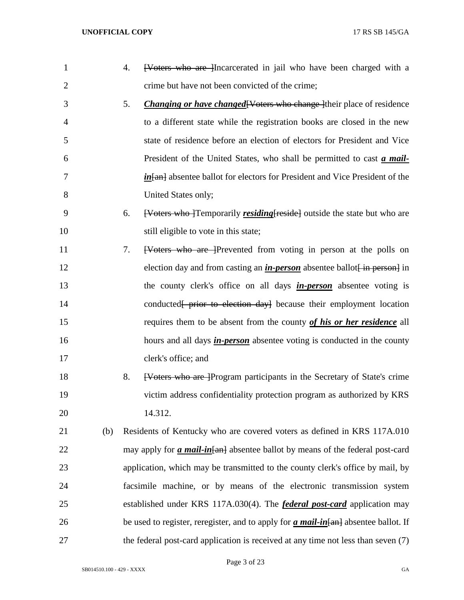| 1              |     | 4. | [Voters who are ]Incarcerated in jail who have been charged with a                                     |
|----------------|-----|----|--------------------------------------------------------------------------------------------------------|
| $\overline{2}$ |     |    | crime but have not been convicted of the crime;                                                        |
| 3              |     | 5. | <b>Changing or have changed</b> [Voters who change ] their place of residence                          |
| $\overline{4}$ |     |    | to a different state while the registration books are closed in the new                                |
| 5              |     |    | state of residence before an election of electors for President and Vice                               |
| 6              |     |    | President of the United States, who shall be permitted to cast $\alpha$ mail-                          |
| 7              |     |    | $\frac{i}{n}$ absentee ballot for electors for President and Vice President of the                     |
| 8              |     |    | United States only;                                                                                    |
| 9              |     | 6. | [Voters who ]Temporarily residing [reside] outside the state but who are                               |
| 10             |     |    | still eligible to vote in this state;                                                                  |
| 11             |     | 7. | [Voters who are ] Prevented from voting in person at the polls on                                      |
| 12             |     |    | election day and from casting an <i>in-person</i> absentee ballot [in person] in                       |
| 13             |     |    | the county clerk's office on all days <i>in-person</i> absentee voting is                              |
| 14             |     |    | conducted <del> prior to election day</del> because their employment location                          |
| 15             |     |    | requires them to be absent from the county of his or her residence all                                 |
| 16             |     |    | hours and all days <i>in-person</i> absentee voting is conducted in the county                         |
| 17             |     |    | clerk's office; and                                                                                    |
| 18             |     | 8. | <b>[Voters who are ]</b> Program participants in the Secretary of State's crime                        |
| 19             |     |    | victim address confidentiality protection program as authorized by KRS                                 |
| 20             |     |    | 14.312.                                                                                                |
| 21             | (b) |    | Residents of Kentucky who are covered voters as defined in KRS 117A.010                                |
| 22             |     |    | may apply for $\alpha$ mail-in $\{\text{an}\}$ absentee ballot by means of the federal post-card       |
| 23             |     |    | application, which may be transmitted to the county clerk's office by mail, by                         |
| 24             |     |    | facsimile machine, or by means of the electronic transmission system                                   |
| 25             |     |    | established under KRS 117A.030(4). The <i>federal post-card</i> application may                        |
| 26             |     |    | be used to register, reregister, and to apply for $\alpha$ mail-in $\{\text{an}\}$ absentee ballot. If |
| 27             |     |    | the federal post-card application is received at any time not less than seven (7)                      |

Page 3 of 23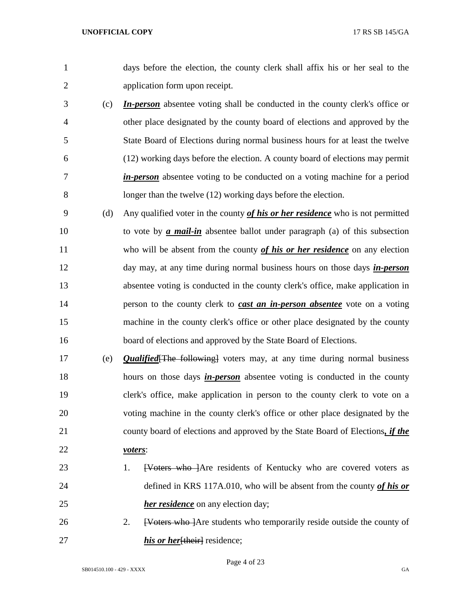days before the election, the county clerk shall affix his or her seal to the application form upon receipt.

- (c) *In-person* absentee voting shall be conducted in the county clerk's office or other place designated by the county board of elections and approved by the State Board of Elections during normal business hours for at least the twelve (12) working days before the election. A county board of elections may permit *in-person* absentee voting to be conducted on a voting machine for a period longer than the twelve (12) working days before the election.
- (d) Any qualified voter in the county *of his or her residence* who is not permitted to vote by *a mail-in* absentee ballot under paragraph (a) of this subsection who will be absent from the county *of his or her residence* on any election day may, at any time during normal business hours on those days *in-person* absentee voting is conducted in the county clerk's office, make application in person to the county clerk to *cast an in-person absentee* vote on a voting machine in the county clerk's office or other place designated by the county board of elections and approved by the State Board of Elections.
- (e) *Qualified*[The following] voters may, at any time during normal business 18 hours on those days *in-person* absentee voting is conducted in the county clerk's office, make application in person to the county clerk to vote on a voting machine in the county clerk's office or other place designated by the county board of elections and approved by the State Board of Elections*, if the voters*:
- 23 1. <del>[Voters who ]</del>Are residents of Kentucky who are covered voters as defined in KRS 117A.010, who will be absent from the county *of his or her residence* on any election day;
- 26 2. <del>[Voters who ]</del>Are students who temporarily reside outside the county of *his or her* [their] residence;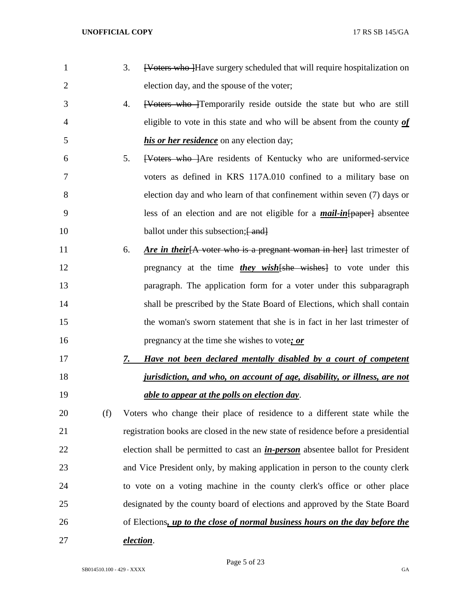| $\mathbf{1}$ |     | 3. | [Voters who ] Have surgery scheduled that will require hospitalization on             |
|--------------|-----|----|---------------------------------------------------------------------------------------|
| 2            |     |    | election day, and the spouse of the voter;                                            |
| 3            |     | 4. | [Voters who ]Temporarily reside outside the state but who are still                   |
| 4            |     |    | eligible to vote in this state and who will be absent from the county $\sigma f$      |
| 5            |     |    | <i>his or her residence</i> on any election day;                                      |
| 6            |     | 5. | [Voters who ] Are residents of Kentucky who are uniformed-service                     |
| 7            |     |    | voters as defined in KRS 117A.010 confined to a military base on                      |
| 8            |     |    | election day and who learn of that confinement within seven (7) days or               |
| 9            |     |    | less of an election and are not eligible for a <i>mail-in</i> [paper] absentee        |
| 10           |     |    | ballot under this subsection; [and]                                                   |
| 11           |     | 6. | Are in their <sup>[A</sup> voter who is a pregnant woman in her] last trimester of    |
| 12           |     |    | pregnancy at the time <i>they wish</i> [she wishes] to vote under this                |
| 13           |     |    | paragraph. The application form for a voter under this subparagraph                   |
| 14           |     |    | shall be prescribed by the State Board of Elections, which shall contain              |
| 15           |     |    | the woman's sworn statement that she is in fact in her last trimester of              |
| 16           |     |    | pregnancy at the time she wishes to vote; or                                          |
| 17           |     | 7. | Have not been declared mentally disabled by a court of competent                      |
| 18           |     |    | jurisdiction, and who, on account of age, disability, or illness, are not             |
| 19           |     |    | able to appear at the polls on election day.                                          |
| 20           | (f) |    | Voters who change their place of residence to a different state while the             |
| 21           |     |    | registration books are closed in the new state of residence before a presidential     |
| 22           |     |    | election shall be permitted to cast an <i>in-person</i> absentee ballot for President |
| 23           |     |    | and Vice President only, by making application in person to the county clerk          |
| 24           |     |    | to vote on a voting machine in the county clerk's office or other place               |
| 25           |     |    | designated by the county board of elections and approved by the State Board           |
| 26           |     |    | of Elections, up to the close of normal business hours on the day before the          |
| 27           |     |    | election.                                                                             |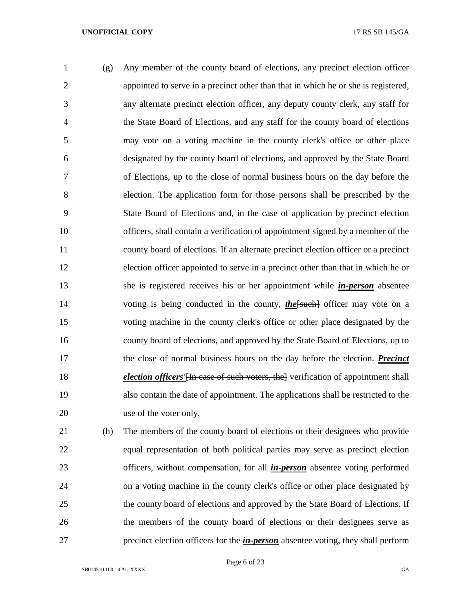(g) Any member of the county board of elections, any precinct election officer appointed to serve in a precinct other than that in which he or she is registered, any alternate precinct election officer, any deputy county clerk, any staff for the State Board of Elections, and any staff for the county board of elections may vote on a voting machine in the county clerk's office or other place designated by the county board of elections, and approved by the State Board of Elections, up to the close of normal business hours on the day before the election. The application form for those persons shall be prescribed by the State Board of Elections and, in the case of application by precinct election officers, shall contain a verification of appointment signed by a member of the county board of elections. If an alternate precinct election officer or a precinct election officer appointed to serve in a precinct other than that in which he or she is registered receives his or her appointment while *in-person* absentee 14 voting is being conducted in the county, *the*[such] officer may vote on a voting machine in the county clerk's office or other place designated by the county board of elections, and approved by the State Board of Elections, up to the close of normal business hours on the day before the election. *Precinct election officers* '<del>[In case of such voters, the]</del> verification of appointment shall also contain the date of appointment. The applications shall be restricted to the use of the voter only.

 (h) The members of the county board of elections or their designees who provide equal representation of both political parties may serve as precinct election officers, without compensation, for all *in-person* absentee voting performed on a voting machine in the county clerk's office or other place designated by the county board of elections and approved by the State Board of Elections. If the members of the county board of elections or their designees serve as precinct election officers for the *in-person* absentee voting, they shall perform

Page 6 of 23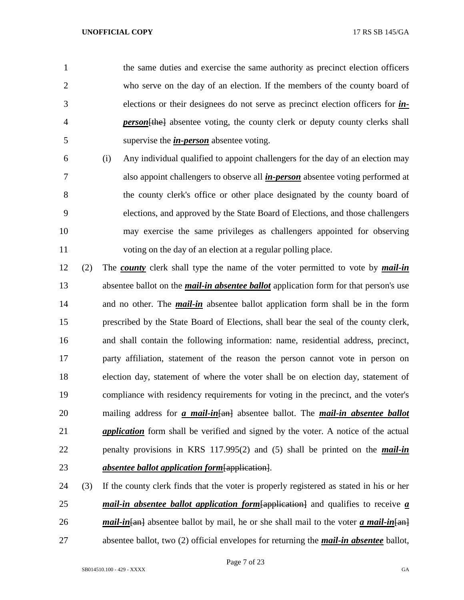the same duties and exercise the same authority as precinct election officers who serve on the day of an election. If the members of the county board of elections or their designees do not serve as precinct election officers for *in-person* {the} absentee voting, the county clerk or deputy county clerks shall supervise the *in-person* absentee voting.

- (i) Any individual qualified to appoint challengers for the day of an election may also appoint challengers to observe all *in-person* absentee voting performed at the county clerk's office or other place designated by the county board of elections, and approved by the State Board of Elections, and those challengers may exercise the same privileges as challengers appointed for observing voting on the day of an election at a regular polling place.
- (2) The *county* clerk shall type the name of the voter permitted to vote by *mail-in* absentee ballot on the *mail-in absentee ballot* application form for that person's use and no other. The *mail-in* absentee ballot application form shall be in the form prescribed by the State Board of Elections, shall bear the seal of the county clerk, and shall contain the following information: name, residential address, precinct, party affiliation, statement of the reason the person cannot vote in person on election day, statement of where the voter shall be on election day, statement of compliance with residency requirements for voting in the precinct, and the voter's mailing address for *a mail-in*[an] absentee ballot. The *mail-in absentee ballot application* form shall be verified and signed by the voter. A notice of the actual penalty provisions in KRS 117.995(2) and (5) shall be printed on the *mail-in absentee ballot application form*[application].

 (3) If the county clerk finds that the voter is properly registered as stated in his or her *mail-in absentee ballot application form*[application] and qualifies to receive *a mail-in* [and absentee ballot by mail, he or she shall mail to the voter *a mail-in* [and absentee ballot, two (2) official envelopes for returning the *mail-in absentee* ballot,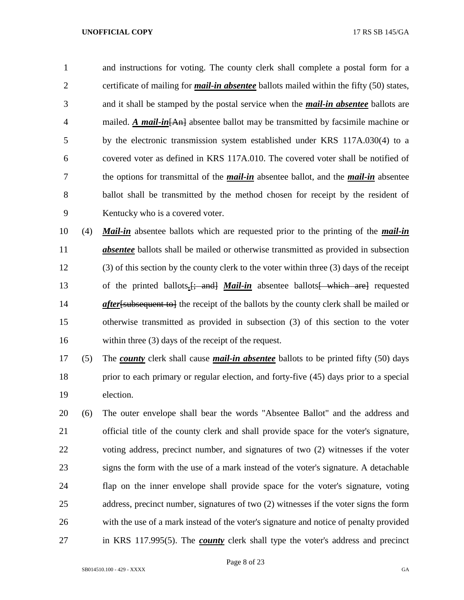and instructions for voting. The county clerk shall complete a postal form for a certificate of mailing for *mail-in absentee* ballots mailed within the fifty (50) states, and it shall be stamped by the postal service when the *mail-in absentee* ballots are mailed. *A mail-in*[An] absentee ballot may be transmitted by facsimile machine or by the electronic transmission system established under KRS 117A.030(4) to a covered voter as defined in KRS 117A.010. The covered voter shall be notified of the options for transmittal of the *mail-in* absentee ballot, and the *mail-in* absentee ballot shall be transmitted by the method chosen for receipt by the resident of Kentucky who is a covered voter.

 (4) *Mail-in* absentee ballots which are requested prior to the printing of the *mail-in absentee* ballots shall be mailed or otherwise transmitted as provided in subsection (3) of this section by the county clerk to the voter within three (3) days of the receipt 13 of the printed ballots.  $\frac{1}{2}$  and *Mail-in* absentee ballots which are requested *after* [subsequent to] the receipt of the ballots by the county clerk shall be mailed or otherwise transmitted as provided in subsection (3) of this section to the voter within three (3) days of the receipt of the request.

 (5) The *county* clerk shall cause *mail-in absentee* ballots to be printed fifty (50) days prior to each primary or regular election, and forty-five (45) days prior to a special election.

 (6) The outer envelope shall bear the words "Absentee Ballot" and the address and official title of the county clerk and shall provide space for the voter's signature, voting address, precinct number, and signatures of two (2) witnesses if the voter signs the form with the use of a mark instead of the voter's signature. A detachable flap on the inner envelope shall provide space for the voter's signature, voting address, precinct number, signatures of two (2) witnesses if the voter signs the form with the use of a mark instead of the voter's signature and notice of penalty provided in KRS 117.995(5). The *county* clerk shall type the voter's address and precinct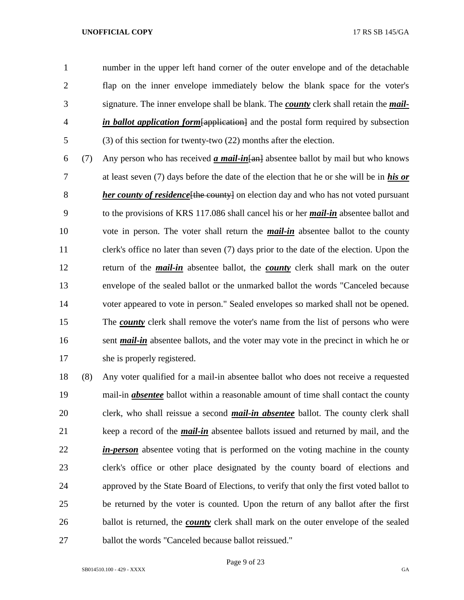number in the upper left hand corner of the outer envelope and of the detachable flap on the inner envelope immediately below the blank space for the voter's signature. The inner envelope shall be blank. The *county* clerk shall retain the *mail- in ballot application form*[application] and the postal form required by subsection (3) of this section for twenty-two (22) months after the election.

 (7) Any person who has received *a mail-in*[an] absentee ballot by mail but who knows at least seven (7) days before the date of the election that he or she will be in *his or her county of residence* {the county} on election day and who has not voted pursuant to the provisions of KRS 117.086 shall cancel his or her *mail-in* absentee ballot and vote in person. The voter shall return the *mail-in* absentee ballot to the county clerk's office no later than seven (7) days prior to the date of the election. Upon the return of the *mail-in* absentee ballot, the *county* clerk shall mark on the outer envelope of the sealed ballot or the unmarked ballot the words "Canceled because voter appeared to vote in person." Sealed envelopes so marked shall not be opened. The *county* clerk shall remove the voter's name from the list of persons who were 16 sent *mail-in* absentee ballots, and the voter may vote in the precinct in which he or she is properly registered.

 (8) Any voter qualified for a mail-in absentee ballot who does not receive a requested mail-in *absentee* ballot within a reasonable amount of time shall contact the county clerk, who shall reissue a second *mail-in absentee* ballot. The county clerk shall keep a record of the *mail-in* absentee ballots issued and returned by mail, and the *in-person* absentee voting that is performed on the voting machine in the county clerk's office or other place designated by the county board of elections and approved by the State Board of Elections, to verify that only the first voted ballot to be returned by the voter is counted. Upon the return of any ballot after the first ballot is returned, the *county* clerk shall mark on the outer envelope of the sealed ballot the words "Canceled because ballot reissued."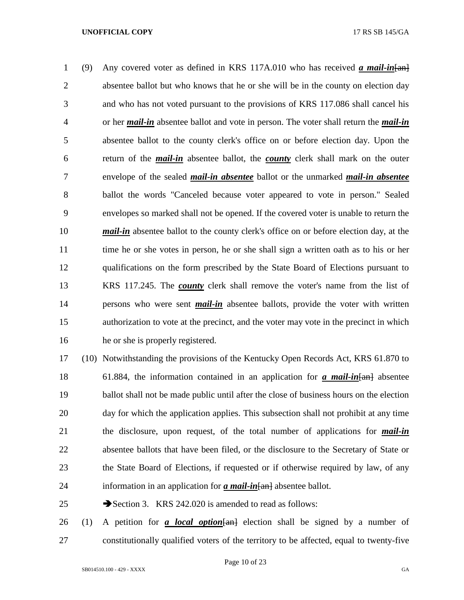(9) Any covered voter as defined in KRS 117A.010 who has received *a mail-in*[an] absentee ballot but who knows that he or she will be in the county on election day and who has not voted pursuant to the provisions of KRS 117.086 shall cancel his or her *mail-in* absentee ballot and vote in person. The voter shall return the *mail-in*  absentee ballot to the county clerk's office on or before election day. Upon the return of the *mail-in* absentee ballot, the *county* clerk shall mark on the outer envelope of the sealed *mail-in absentee* ballot or the unmarked *mail-in absentee* ballot the words "Canceled because voter appeared to vote in person." Sealed envelopes so marked shall not be opened. If the covered voter is unable to return the *mail-in* absentee ballot to the county clerk's office on or before election day, at the 11 time he or she votes in person, he or she shall sign a written oath as to his or her qualifications on the form prescribed by the State Board of Elections pursuant to KRS 117.245. The *county* clerk shall remove the voter's name from the list of persons who were sent *mail-in* absentee ballots, provide the voter with written authorization to vote at the precinct, and the voter may vote in the precinct in which he or she is properly registered.

 (10) Notwithstanding the provisions of the Kentucky Open Records Act, KRS 61.870 to 61.884, the information contained in an application for *a mail-in*[an] absentee ballot shall not be made public until after the close of business hours on the election day for which the application applies. This subsection shall not prohibit at any time the disclosure, upon request, of the total number of applications for *mail-in* absentee ballots that have been filed, or the disclosure to the Secretary of State or the State Board of Elections, if requested or if otherwise required by law, of any 24 information in an application for *a mail-in* [an] absentee ballot.

25 Section 3. KRS 242.020 is amended to read as follows:

26 (1) A petition for *a local option*  $\frac{1}{2}$  election shall be signed by a number of constitutionally qualified voters of the territory to be affected, equal to twenty-five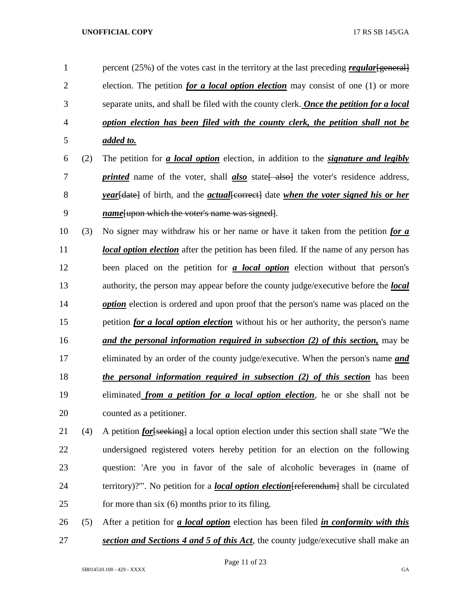1 percent (25%) of the votes cast in the territory at the last preceding *regular* [general] election. The petition *for a local option election* may consist of one (1) or more separate units, and shall be filed with the county clerk. *Once the petition for a local option election has been filed with the county clerk, the petition shall not be added to.* (2) The petition for *a local option* election, in addition to the *signature and legibly printed* name of the voter, shall *also* state<del>[ also]</del> the voter's residence address, *year*[date] of birth, and the *actual*[correct] date *when the voter signed his or her name*[upon which the voter's name was signed]. (3) No signer may withdraw his or her name or have it taken from the petition *for a local option election* after the petition has been filed. If the name of any person has been placed on the petition for *a local option* election without that person's authority, the person may appear before the county judge/executive before the *local option* election is ordered and upon proof that the person's name was placed on the petition *for a local option election* without his or her authority, the person's name *and the personal information required in subsection (2) of this section,* may be eliminated by an order of the county judge/executive. When the person's name *and the personal information required in subsection (2) of this section* has been eliminated *from a petition for a local option election*, he or she shall not be counted as a petitioner. 21 (4) A petition *for* [seeking] a local option election under this section shall state "We the undersigned registered voters hereby petition for an election on the following question: 'Are you in favor of the sale of alcoholic beverages in (name of territory)?'". No petition for a *local option election*[referendum] shall be circulated for more than six (6) months prior to its filing. (5) After a petition for *a local option* election has been filed *in conformity with this* 

*section and Sections 4 and 5 of this Act*, the county judge/executive shall make an

Page 11 of 23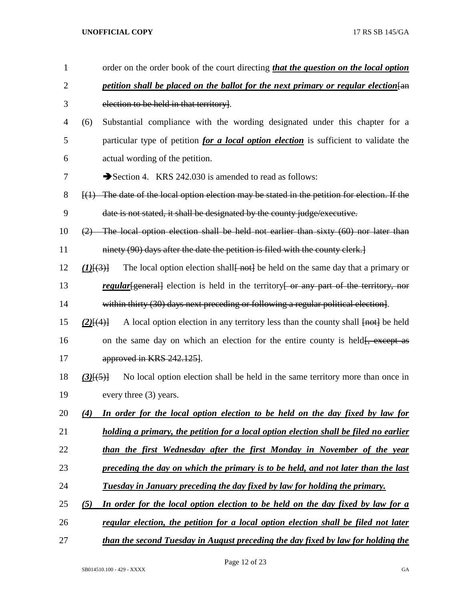| 1              | order on the order book of the court directing that the question on the local option                             |
|----------------|------------------------------------------------------------------------------------------------------------------|
| $\overline{2}$ | petition shall be placed on the ballot for the next primary or regular election [an                              |
| 3              | election to be held in that territory.                                                                           |
| $\overline{4}$ | Substantial compliance with the wording designated under this chapter for a<br>(6)                               |
| 5              | particular type of petition <i>for a local option election</i> is sufficient to validate the                     |
| 6              | actual wording of the petition.                                                                                  |
| 7              | Section 4. KRS 242.030 is amended to read as follows:                                                            |
| 8              | $\left\{\left(1\right)$ The date of the local option election may be stated in the petition for election. If the |
| 9              | date is not stated, it shall be designated by the county judge/executive.                                        |
| 10             | $(2)$ The local option election shall be held not earlier than sixty $(60)$ nor later than                       |
| 11             | ninety (90) days after the date the petition is filed with the county clerk.]                                    |
| 12             | The local option election shall [not] be held on the same day that a primary or<br>$(1)$ $(3)$ $\}$              |
| 13             | regular[general] election is held in the territory or any part of the territory, nor                             |
| 14             | within thirty (30) days next preceding or following a regular political election.                                |
| 15             | A local option election in any territory less than the county shall [not] be held<br>$(2)$ $\{4\}$               |
| 16             | on the same day on which an election for the entire county is held <del>[, except as</del>                       |
| 17             | approved in KRS 242.125.                                                                                         |
| 18             | No local option election shall be held in the same territory more than once in<br>$(3)$ $(5)$ }                  |
| 19             | every three (3) years.                                                                                           |
| 20             | In order for the local option election to be held on the day fixed by law for<br>(4)                             |
| 21             | holding a primary, the petition for a local option election shall be filed no earlier                            |
| 22             | than the first Wednesday after the first Monday in November of the year                                          |
| 23             | preceding the day on which the primary is to be held, and not later than the last                                |
| 24             | Tuesday in January preceding the day fixed by law for holding the primary.                                       |
| 25             | In order for the local option election to be held on the day fixed by law for a<br>(5)                           |
| 26             | regular election, the petition for a local option election shall be filed not later                              |
| 27             | than the second Tuesday in August preceding the day fixed by law for holding the                                 |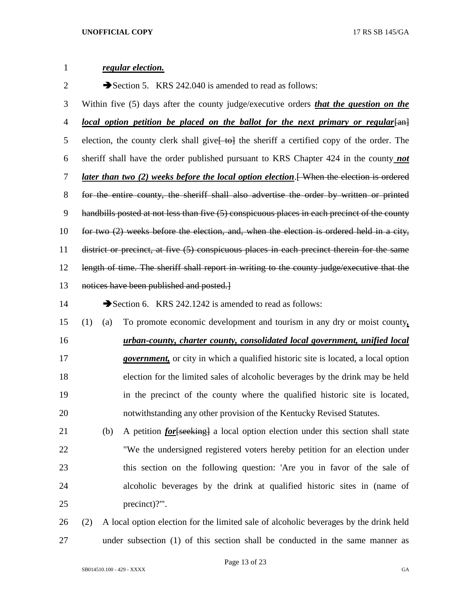| $\mathbf{1}$   |            | regular election.                                                                                    |
|----------------|------------|------------------------------------------------------------------------------------------------------|
| $\overline{2}$ |            | Section 5. KRS 242.040 is amended to read as follows:                                                |
| 3              |            | Within five (5) days after the county judge/executive orders <i>that the question on the</i>         |
| 4              |            | <u>local option petition be placed on the ballot for the next primary or regular</u>                 |
| 5              |            | election, the county clerk shall give $\leftarrow$ to the sheriff a certified copy of the order. The |
| 6              |            | sheriff shall have the order published pursuant to KRS Chapter 424 in the county not                 |
| 7              |            | <i>later than two (2) weeks before the local option election</i> . When the election is ordered      |
| 8              |            | for the entire county, the sheriff shall also advertise the order by written or printed              |
| 9              |            | handbills posted at not less than five (5) conspicuous places in each precinct of the county         |
| 10             |            | for two $(2)$ weeks before the election, and, when the election is ordered held in a city,           |
| 11             |            | district or precinct, at five (5) conspicuous places in each precinct therein for the same           |
| 12             |            | length of time. The sheriff shall report in writing to the county judge/executive that the           |
| 13             |            | notices have been published and posted.                                                              |
| 14             |            | Section 6. KRS 242.1242 is amended to read as follows:                                               |
| 15             | (1)<br>(a) | To promote economic development and tourism in any dry or moist county,                              |
| 16             |            | urban-county, charter county, consolidated local government, unified local                           |
| 17             |            | <b>government</b> , or city in which a qualified historic site is located, a local option            |
| 18             |            | election for the limited sales of alcoholic beverages by the drink may be held                       |
| 19             |            | in the precinct of the county where the qualified historic site is located,                          |
| 20             |            | notwithstanding any other provision of the Kentucky Revised Statutes.                                |
| 21             | (b)        | A petition <i>for</i> [seeking] a local option election under this section shall state               |
| 22             |            | "We the undersigned registered voters hereby petition for an election under                          |
| 23             |            | this section on the following question: 'Are you in favor of the sale of                             |
| 24             |            | alcoholic beverages by the drink at qualified historic sites in (name of                             |
| 25             |            | precinct)?"".                                                                                        |
| 26             | (2)        | A local option election for the limited sale of alcoholic beverages by the drink held                |

under subsection (1) of this section shall be conducted in the same manner as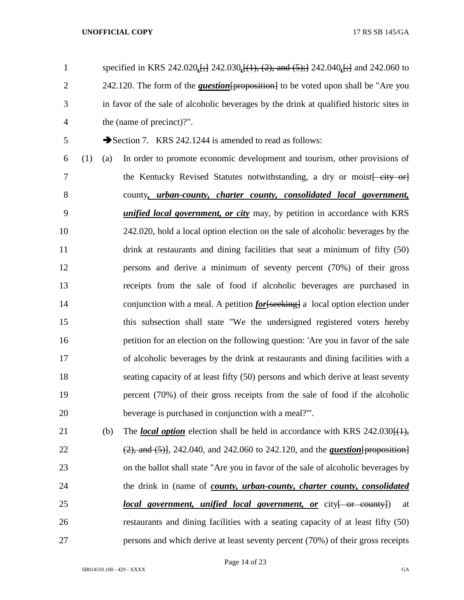1 specified in KRS 242.020<sub>4</sub> $\leftrightarrow$  242.030<sub>4</sub> $\left\{\leftrightarrow\right\}$  and  $\left\{\rightarrow\right\}$  242.040<sub>4</sub> $\leftrightarrow$  and 242.060 to 2 242.120. The form of the *question* [proposition] to be voted upon shall be "Are you in favor of the sale of alcoholic beverages by the drink at qualified historic sites in the (name of precinct)?". Section 7. KRS 242.1244 is amended to read as follows: (1) (a) In order to promote economic development and tourism, other provisions of 7 the Kentucky Revised Statutes notwithstanding, a dry or moist  $\left\{\frac{e}{f} \cdot \frac{f}{f} \cdot \frac{f}{f} \cdot \frac{f}{f} \cdot \frac{f}{f} \cdot \frac{f}{f} \cdot \frac{f}{f} \cdot \frac{f}{f} \cdot \frac{f}{f} \cdot \frac{f}{f} \cdot \frac{f}{f} \cdot \frac{f}{f} \cdot \frac{f}{f} \cdot \frac{f}{f} \cdot \frac{f}{f} \cdot \frac{f}{f} \cdot \frac{f}{f} \cdot \$  county*, urban-county, charter county, consolidated local government, unified local government, or city* may, by petition in accordance with KRS 242.020, hold a local option election on the sale of alcoholic beverages by the drink at restaurants and dining facilities that seat a minimum of fifty (50) persons and derive a minimum of seventy percent (70%) of their gross receipts from the sale of food if alcoholic beverages are purchased in 14 conjunction with a meal. A petition *for* [seeking] a local option election under this subsection shall state "We the undersigned registered voters hereby petition for an election on the following question: 'Are you in favor of the sale of alcoholic beverages by the drink at restaurants and dining facilities with a seating capacity of at least fifty (50) persons and which derive at least seventy percent (70%) of their gross receipts from the sale of food if the alcoholic beverage is purchased in conjunction with a meal?'". 21 (b) The *local option* election shall be held in accordance with KRS 242.030<del>[(1),</del> (2), and (5)], 242.040, and 242.060 to 242.120, and the *question*[proposition] on the ballot shall state "Are you in favor of the sale of alcoholic beverages by the drink in (name of *county, urban-county, charter county, consolidated local government, unified local government, or* city<del>[ or county]</del>) at

persons and which derive at least seventy percent (70%) of their gross receipts

restaurants and dining facilities with a seating capacity of at least fifty (50)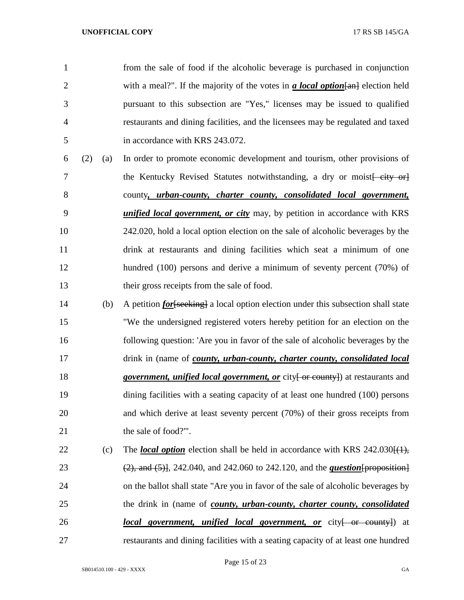| $\mathbf{1}$   |     | from the sale of food if the alcoholic beverage is purchased in conjunction                  |
|----------------|-----|----------------------------------------------------------------------------------------------|
| $\overline{2}$ |     | with a meal?". If the majority of the votes in <b>a local option</b> $\{an\}$ election held  |
| 3              |     | pursuant to this subsection are "Yes," licenses may be issued to qualified                   |
| $\overline{4}$ |     | restaurants and dining facilities, and the licensees may be regulated and taxed              |
| 5              |     | in accordance with KRS 243.072.                                                              |
| (2)<br>6       | (a) | In order to promote economic development and tourism, other provisions of                    |
| 7              |     | the Kentucky Revised Statutes notwithstanding, a dry or moist eity or                        |
| 8              |     | county, urban-county, charter county, consolidated local government,                         |
| 9              |     | <i>unified local government, or city</i> may, by petition in accordance with KRS             |
| 10             |     | 242.020, hold a local option election on the sale of alcoholic beverages by the              |
| 11             |     | drink at restaurants and dining facilities which seat a minimum of one                       |
| 12             |     | hundred (100) persons and derive a minimum of seventy percent (70%) of                       |
| 13             |     | their gross receipts from the sale of food.                                                  |
| 14             | (b) | A petition <i>for</i> [seeking] a local option election under this subsection shall state    |
| 15             |     | "We the undersigned registered voters hereby petition for an election on the                 |
| 16             |     | following question: 'Are you in favor of the sale of alcoholic beverages by the              |
| 17             |     | drink in (name of <i>county, urban-county, charter county, consolidated local</i>            |
| 18             |     | <i>government, unified local government, or city for county at restaurants and</i>           |
| 19             |     | dining facilities with a seating capacity of at least one hundred (100) persons              |
| 20             |     | and which derive at least seventy percent (70%) of their gross receipts from                 |
| 21             |     | the sale of food?"'.                                                                         |
| 22             | (c) | The <b><i>local option</i></b> election shall be held in accordance with KRS $242.030\{(1),$ |
| 23             |     | $(2)$ , and $(5)$ , 242.040, and 242.060 to 242.120, and the <i>question</i> proposition     |
| 24             |     | on the ballot shall state "Are you in favor of the sale of alcoholic beverages by            |
| 25             |     | the drink in (name of <i>county, urban-county, charter county, consolidated</i>              |
| 26             |     | <b>local government, unified local government, or</b> city <del>or county</del> ) at         |
| 27             |     | restaurants and dining facilities with a seating capacity of at least one hundred            |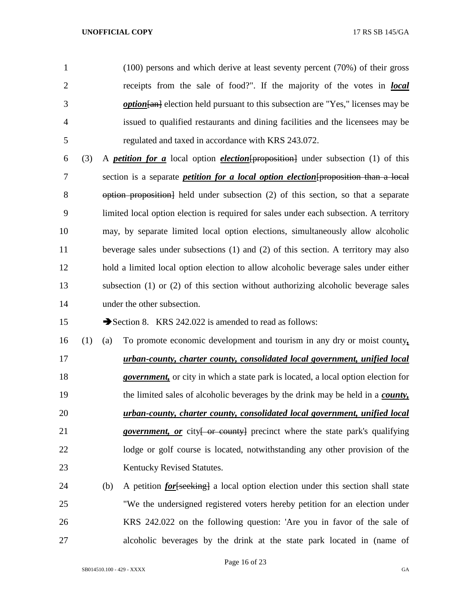(100) persons and which derive at least seventy percent (70%) of their gross receipts from the sale of food?". If the majority of the votes in *local*  **option**  $\{a_n\}$  election held pursuant to this subsection are "Yes," licenses may be issued to qualified restaurants and dining facilities and the licensees may be regulated and taxed in accordance with KRS 243.072.

 (3) A *petition for a* local option *election*[proposition] under subsection (1) of this section is a separate *petition for a local option election*[proposition than a local option proposition] held under subsection (2) of this section, so that a separate limited local option election is required for sales under each subsection. A territory may, by separate limited local option elections, simultaneously allow alcoholic beverage sales under subsections (1) and (2) of this section. A territory may also hold a limited local option election to allow alcoholic beverage sales under either subsection (1) or (2) of this section without authorizing alcoholic beverage sales under the other subsection.

15 Section 8. KRS 242.022 is amended to read as follows:

 (1) (a) To promote economic development and tourism in any dry or moist county*, urban-county, charter county, consolidated local government, unified local government,* or city in which a state park is located, a local option election for the limited sales of alcoholic beverages by the drink may be held in a *county, urban-county, charter county, consolidated local government, unified local*  **government, or** city to county and the state park's qualifying lodge or golf course is located, notwithstanding any other provision of the 23 Kentucky Revised Statutes.

24 (b) A petition *for* [seeking] a local option election under this section shall state "We the undersigned registered voters hereby petition for an election under KRS 242.022 on the following question: 'Are you in favor of the sale of alcoholic beverages by the drink at the state park located in (name of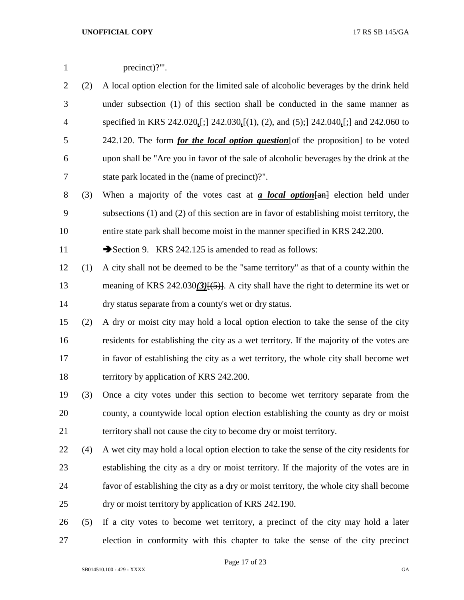(2) A local option election for the limited sale of alcoholic beverages by the drink held under subsection (1) of this section shall be conducted in the same manner as specified in KRS 242.020*,*[;] 242.030*,*[(1), (2), and (5);] 242.040*,*[;] and 242.060 to 242.120. The form *for the local option question*[of the proposition] to be voted upon shall be "Are you in favor of the sale of alcoholic beverages by the drink at the state park located in the (name of precinct)?".

 (3) When a majority of the votes cast at *a local option*[an] election held under subsections (1) and (2) of this section are in favor of establishing moist territory, the entire state park shall become moist in the manner specified in KRS 242.200.

11 Section 9. KRS 242.125 is amended to read as follows:

- (1) A city shall not be deemed to be the "same territory" as that of a county within the 13 meaning of KRS 242.030(3)<del>[(5)]</del>. A city shall have the right to determine its wet or dry status separate from a county's wet or dry status.
- (2) A dry or moist city may hold a local option election to take the sense of the city residents for establishing the city as a wet territory. If the majority of the votes are in favor of establishing the city as a wet territory, the whole city shall become wet 18 territory by application of KRS 242.200.
- (3) Once a city votes under this section to become wet territory separate from the county, a countywide local option election establishing the county as dry or moist territory shall not cause the city to become dry or moist territory.
- (4) A wet city may hold a local option election to take the sense of the city residents for establishing the city as a dry or moist territory. If the majority of the votes are in favor of establishing the city as a dry or moist territory, the whole city shall become dry or moist territory by application of KRS 242.190.
- (5) If a city votes to become wet territory, a precinct of the city may hold a later election in conformity with this chapter to take the sense of the city precinct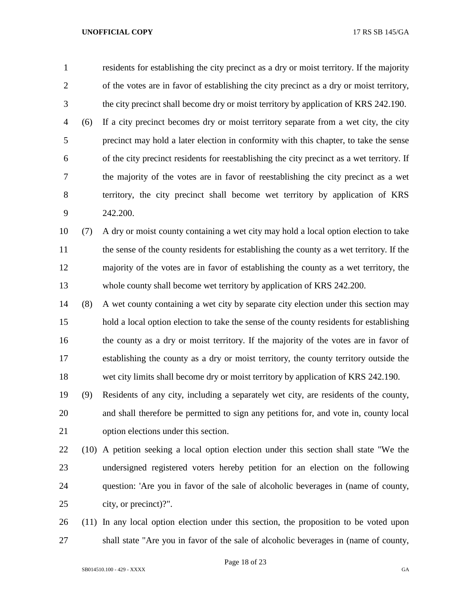residents for establishing the city precinct as a dry or moist territory. If the majority of the votes are in favor of establishing the city precinct as a dry or moist territory, the city precinct shall become dry or moist territory by application of KRS 242.190.

 (6) If a city precinct becomes dry or moist territory separate from a wet city, the city precinct may hold a later election in conformity with this chapter, to take the sense of the city precinct residents for reestablishing the city precinct as a wet territory. If the majority of the votes are in favor of reestablishing the city precinct as a wet territory, the city precinct shall become wet territory by application of KRS 242.200.

 (7) A dry or moist county containing a wet city may hold a local option election to take the sense of the county residents for establishing the county as a wet territory. If the majority of the votes are in favor of establishing the county as a wet territory, the whole county shall become wet territory by application of KRS 242.200.

 (8) A wet county containing a wet city by separate city election under this section may hold a local option election to take the sense of the county residents for establishing 16 the county as a dry or moist territory. If the majority of the votes are in favor of establishing the county as a dry or moist territory, the county territory outside the wet city limits shall become dry or moist territory by application of KRS 242.190.

 (9) Residents of any city, including a separately wet city, are residents of the county, and shall therefore be permitted to sign any petitions for, and vote in, county local option elections under this section.

 (10) A petition seeking a local option election under this section shall state "We the undersigned registered voters hereby petition for an election on the following question: 'Are you in favor of the sale of alcoholic beverages in (name of county, city, or precinct)?".

 (11) In any local option election under this section, the proposition to be voted upon shall state "Are you in favor of the sale of alcoholic beverages in (name of county,

Page 18 of 23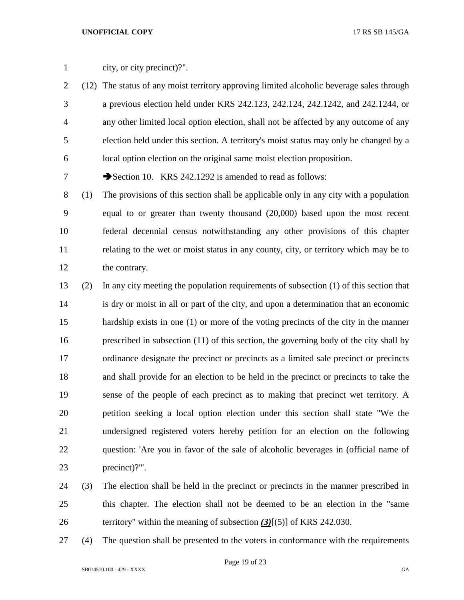- city, or city precinct)?".
- (12) The status of any moist territory approving limited alcoholic beverage sales through a previous election held under KRS 242.123, 242.124, 242.1242, and 242.1244, or any other limited local option election, shall not be affected by any outcome of any election held under this section. A territory's moist status may only be changed by a local option election on the original same moist election proposition.

7 Section 10. KRS 242.1292 is amended to read as follows:

 (1) The provisions of this section shall be applicable only in any city with a population equal to or greater than twenty thousand (20,000) based upon the most recent federal decennial census notwithstanding any other provisions of this chapter relating to the wet or moist status in any county, city, or territory which may be to 12 the contrary.

- (2) In any city meeting the population requirements of subsection (1) of this section that is dry or moist in all or part of the city, and upon a determination that an economic hardship exists in one (1) or more of the voting precincts of the city in the manner prescribed in subsection (11) of this section, the governing body of the city shall by ordinance designate the precinct or precincts as a limited sale precinct or precincts and shall provide for an election to be held in the precinct or precincts to take the sense of the people of each precinct as to making that precinct wet territory. A petition seeking a local option election under this section shall state "We the undersigned registered voters hereby petition for an election on the following question: 'Are you in favor of the sale of alcoholic beverages in (official name of precinct)?'".
- (3) The election shall be held in the precinct or precincts in the manner prescribed in this chapter. The election shall not be deemed to be an election in the "same territory" within the meaning of subsection *(3)*[(5)] of KRS 242.030.
- (4) The question shall be presented to the voters in conformance with the requirements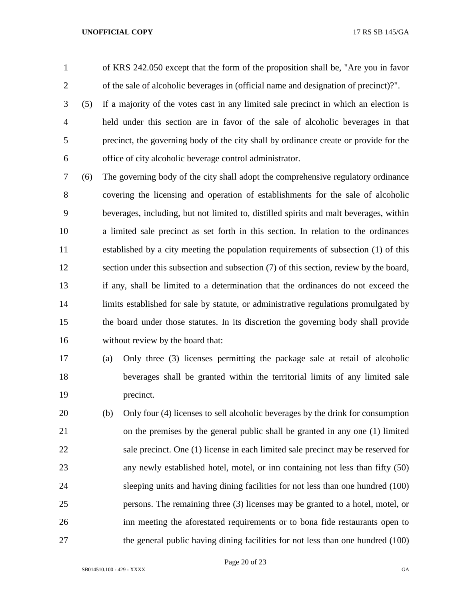of KRS 242.050 except that the form of the proposition shall be, "Are you in favor of the sale of alcoholic beverages in (official name and designation of precinct)?".

 (5) If a majority of the votes cast in any limited sale precinct in which an election is held under this section are in favor of the sale of alcoholic beverages in that precinct, the governing body of the city shall by ordinance create or provide for the office of city alcoholic beverage control administrator.

 (6) The governing body of the city shall adopt the comprehensive regulatory ordinance covering the licensing and operation of establishments for the sale of alcoholic beverages, including, but not limited to, distilled spirits and malt beverages, within a limited sale precinct as set forth in this section. In relation to the ordinances established by a city meeting the population requirements of subsection (1) of this section under this subsection and subsection (7) of this section, review by the board, if any, shall be limited to a determination that the ordinances do not exceed the limits established for sale by statute, or administrative regulations promulgated by the board under those statutes. In its discretion the governing body shall provide without review by the board that:

 (a) Only three (3) licenses permitting the package sale at retail of alcoholic beverages shall be granted within the territorial limits of any limited sale precinct.

 (b) Only four (4) licenses to sell alcoholic beverages by the drink for consumption on the premises by the general public shall be granted in any one (1) limited sale precinct. One (1) license in each limited sale precinct may be reserved for any newly established hotel, motel, or inn containing not less than fifty (50) sleeping units and having dining facilities for not less than one hundred (100) persons. The remaining three (3) licenses may be granted to a hotel, motel, or inn meeting the aforestated requirements or to bona fide restaurants open to the general public having dining facilities for not less than one hundred (100)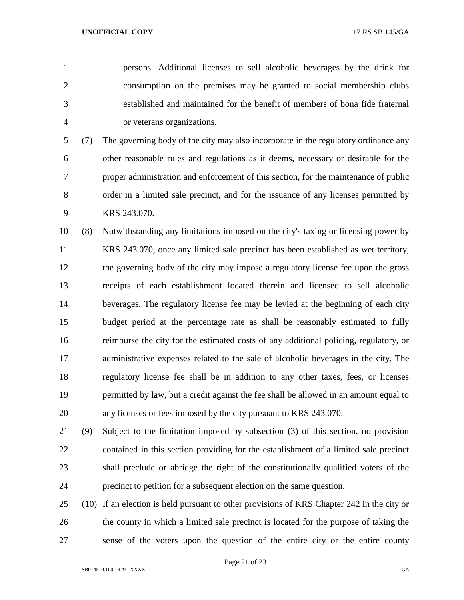persons. Additional licenses to sell alcoholic beverages by the drink for consumption on the premises may be granted to social membership clubs established and maintained for the benefit of members of bona fide fraternal or veterans organizations.

 (7) The governing body of the city may also incorporate in the regulatory ordinance any other reasonable rules and regulations as it deems, necessary or desirable for the proper administration and enforcement of this section, for the maintenance of public order in a limited sale precinct, and for the issuance of any licenses permitted by KRS 243.070.

 (8) Notwithstanding any limitations imposed on the city's taxing or licensing power by KRS 243.070, once any limited sale precinct has been established as wet territory, the governing body of the city may impose a regulatory license fee upon the gross receipts of each establishment located therein and licensed to sell alcoholic beverages. The regulatory license fee may be levied at the beginning of each city budget period at the percentage rate as shall be reasonably estimated to fully reimburse the city for the estimated costs of any additional policing, regulatory, or administrative expenses related to the sale of alcoholic beverages in the city. The regulatory license fee shall be in addition to any other taxes, fees, or licenses permitted by law, but a credit against the fee shall be allowed in an amount equal to any licenses or fees imposed by the city pursuant to KRS 243.070.

 (9) Subject to the limitation imposed by subsection (3) of this section, no provision contained in this section providing for the establishment of a limited sale precinct shall preclude or abridge the right of the constitutionally qualified voters of the precinct to petition for a subsequent election on the same question.

 (10) If an election is held pursuant to other provisions of KRS Chapter 242 in the city or the county in which a limited sale precinct is located for the purpose of taking the sense of the voters upon the question of the entire city or the entire county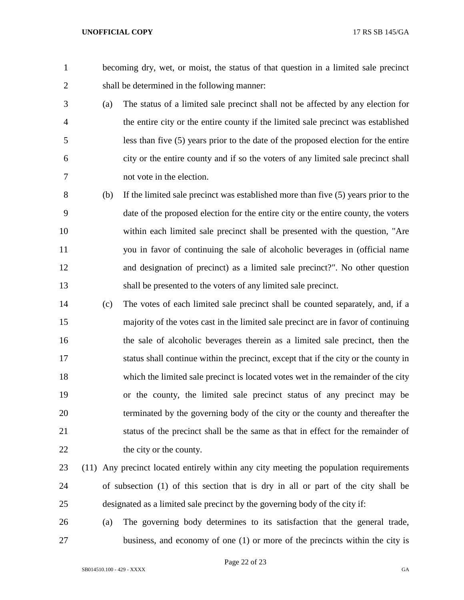becoming dry, wet, or moist, the status of that question in a limited sale precinct shall be determined in the following manner:

 (a) The status of a limited sale precinct shall not be affected by any election for the entire city or the entire county if the limited sale precinct was established less than five (5) years prior to the date of the proposed election for the entire city or the entire county and if so the voters of any limited sale precinct shall not vote in the election.

 (b) If the limited sale precinct was established more than five (5) years prior to the date of the proposed election for the entire city or the entire county, the voters within each limited sale precinct shall be presented with the question, "Are you in favor of continuing the sale of alcoholic beverages in (official name and designation of precinct) as a limited sale precinct?". No other question shall be presented to the voters of any limited sale precinct.

 (c) The votes of each limited sale precinct shall be counted separately, and, if a majority of the votes cast in the limited sale precinct are in favor of continuing the sale of alcoholic beverages therein as a limited sale precinct, then the status shall continue within the precinct, except that if the city or the county in which the limited sale precinct is located votes wet in the remainder of the city or the county, the limited sale precinct status of any precinct may be terminated by the governing body of the city or the county and thereafter the status of the precinct shall be the same as that in effect for the remainder of 22 the city or the county.

- (11) Any precinct located entirely within any city meeting the population requirements of subsection (1) of this section that is dry in all or part of the city shall be designated as a limited sale precinct by the governing body of the city if:
- (a) The governing body determines to its satisfaction that the general trade, 27 business, and economy of one (1) or more of the precincts within the city is